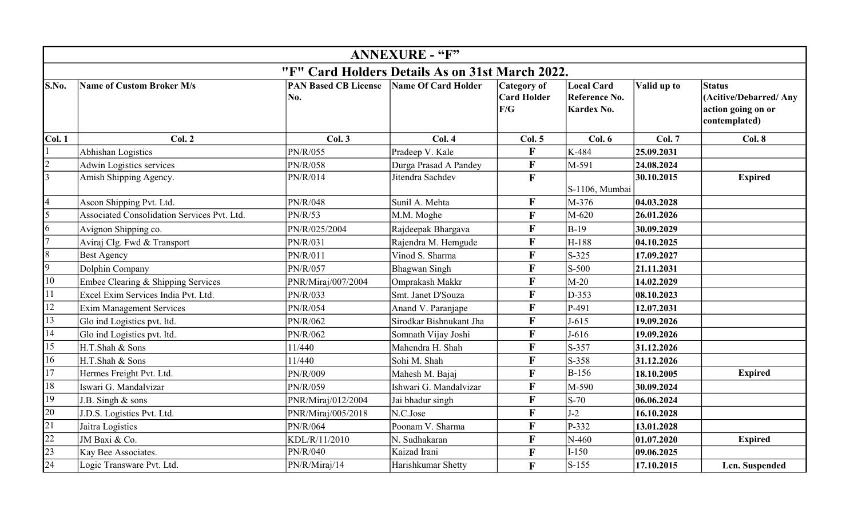|                                                 | <b>ANNEXURE - "F"</b>                       |                                    |                         |                                                 |                                                         |             |                                                                               |  |
|-------------------------------------------------|---------------------------------------------|------------------------------------|-------------------------|-------------------------------------------------|---------------------------------------------------------|-------------|-------------------------------------------------------------------------------|--|
| "F" Card Holders Details As on 31st March 2022. |                                             |                                    |                         |                                                 |                                                         |             |                                                                               |  |
| S.No.                                           | Name of Custom Broker M/s                   | <b>PAN Based CB License</b><br>No. | Name Of Card Holder     | <b>Category of</b><br><b>Card Holder</b><br>F/G | <b>Local Card</b><br>Reference No.<br><b>Kardex No.</b> | Valid up to | <b>Status</b><br>(Acitive/Debarred/Any<br>action going on or<br>contemplated) |  |
| Col. 1                                          | Col. 2                                      | Col.3                              | Col.4                   | Col. 5                                          | Col. 6                                                  | Col. 7      | Col. 8                                                                        |  |
|                                                 | Abhishan Logistics                          | PN/R/055                           | Pradeep V. Kale         | F                                               | K-484                                                   | 25.09.2031  |                                                                               |  |
| $\overline{2}$                                  | <b>Adwin Logistics services</b>             | PN/R/058                           | Durga Prasad A Pandey   | $\mathbf F$                                     | M-591                                                   | 24.08.2024  |                                                                               |  |
| $\overline{3}$                                  | Amish Shipping Agency.                      | PN/R/014                           | Jitendra Sachdev        | $\mathbf{F}$                                    | S-1106, Mumbai                                          | 30.10.2015  | <b>Expired</b>                                                                |  |
| $\overline{4}$                                  | Ascon Shipping Pvt. Ltd.                    | PN/R/048                           | Sunil A. Mehta          | $\mathbf{F}$                                    | M-376                                                   | 04.03.2028  |                                                                               |  |
| 5                                               | Associated Consolidation Services Pvt. Ltd. | PN/R/53                            | M.M. Moghe              | $\mathbf{F}$                                    | M-620                                                   | 26.01.2026  |                                                                               |  |
| 16                                              | Avignon Shipping co.                        | PN/R/025/2004                      | Rajdeepak Bhargava      | $\mathbf{F}$                                    | $B-19$                                                  | 30.09.2029  |                                                                               |  |
| $\overline{7}$                                  | Aviraj Clg. Fwd & Transport                 | PN/R/031                           | Rajendra M. Hemgude     | $\mathbf F$                                     | H-188                                                   | 04.10.2025  |                                                                               |  |
| 8                                               | <b>Best Agency</b>                          | PN/R/011                           | Vinod S. Sharma         | F                                               | $S-325$                                                 | 17.09.2027  |                                                                               |  |
| $\overline{9}$                                  | Dolphin Company                             | PN/R/057                           | <b>Bhagwan Singh</b>    | F                                               | $S-500$                                                 | 21.11.2031  |                                                                               |  |
| 10                                              | Embee Clearing & Shipping Services          | PNR/Miraj/007/2004                 | Omprakash Makkr         | $\mathbf F$                                     | $M-20$                                                  | 14.02.2029  |                                                                               |  |
| 11                                              | Excel Exim Services India Pvt. Ltd.         | PN/R/033                           | Smt. Janet D'Souza      | $\overline{\mathbf{F}}$                         | D-353                                                   | 08.10.2023  |                                                                               |  |
| 12                                              | <b>Exim Management Services</b>             | PN/R/054                           | Anand V. Paranjape      | $\mathbf F$                                     | P-491                                                   | 12.07.2031  |                                                                               |  |
| 13                                              | Glo ind Logistics pvt. ltd.                 | PN/R/062                           | Sirodkar Bishnukant Jha | $\mathbf{F}$                                    | $J-615$                                                 | 19.09.2026  |                                                                               |  |
| 14                                              | Glo ind Logistics pvt. ltd.                 | PN/R/062                           | Somnath Vijay Joshi     | $\mathbf F$                                     | $J-616$                                                 | 19.09.2026  |                                                                               |  |
| 15                                              | H.T.Shah & Sons                             | 11/440                             | Mahendra H. Shah        | F                                               | $S-357$                                                 | 31.12.2026  |                                                                               |  |
| 16                                              | H.T.Shah & Sons                             | 11/440                             | Sohi M. Shah            | F                                               | $S-358$                                                 | 31.12.2026  |                                                                               |  |
| 17                                              | Hermes Freight Pvt. Ltd.                    | PN/R/009                           | Mahesh M. Bajaj         | $\mathbf{F}$                                    | $B-156$                                                 | 18.10.2005  | <b>Expired</b>                                                                |  |
| 18                                              | Iswari G. Mandalvizar                       | PN/R/059                           | Ishwari G. Mandalvizar  | F                                               | M-590                                                   | 30.09.2024  |                                                                               |  |
| 19                                              | J.B. Singh & sons                           | PNR/Miraj/012/2004                 | Jai bhadur singh        | F                                               | $S-70$                                                  | 06.06.2024  |                                                                               |  |
| 20                                              | J.D.S. Logistics Pvt. Ltd.                  | PNR/Miraj/005/2018                 | N.C.Jose                | $\mathbf{F}$                                    | $J-2$                                                   | 16.10.2028  |                                                                               |  |
| $\overline{21}$                                 | Jaitra Logistics                            | PN/R/064                           | Poonam V. Sharma        | F                                               | P-332                                                   | 13.01.2028  |                                                                               |  |
| 22                                              | JM Baxi & Co.                               | KDL/R/11/2010                      | N. Sudhakaran           | F                                               | N-460                                                   | 01.07.2020  | <b>Expired</b>                                                                |  |
| $\overline{23}$                                 | Kay Bee Associates.                         | PN/R/040                           | Kaizad Irani            | $\mathbf{F}$                                    | $I-150$                                                 | 09.06.2025  |                                                                               |  |
| 24                                              | Logic Transware Pvt. Ltd.                   | PN/R/Miraj/14                      | Harishkumar Shetty      | F                                               | $S-155$                                                 | 17.10.2015  | Lcn. Suspended                                                                |  |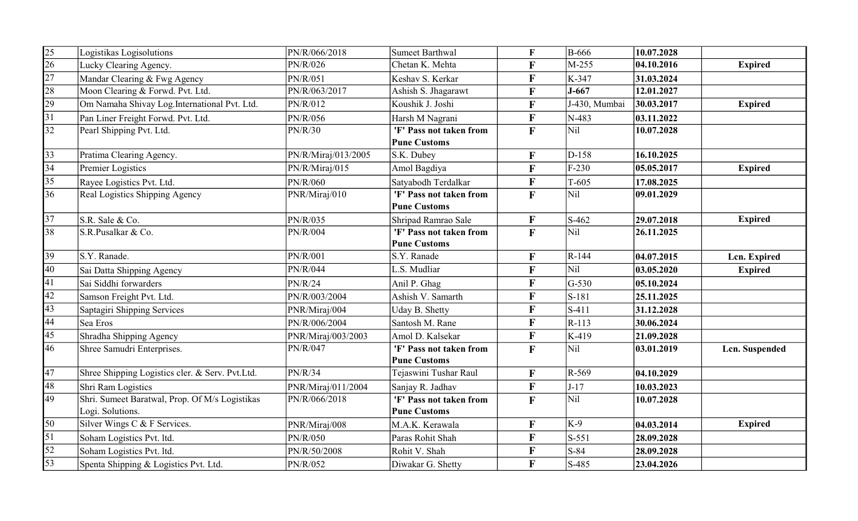| $\overline{25}$ | Logistikas Logisolutions                        | PN/R/066/2018       | <b>Sumeet Barthwal</b>  | $\mathbf F$  | <b>B-666</b>        | 10.07.2028 |                |
|-----------------|-------------------------------------------------|---------------------|-------------------------|--------------|---------------------|------------|----------------|
| $\overline{26}$ | Lucky Clearing Agency.                          | PN/R/026            | Chetan K. Mehta         | $\mathbf F$  | M-255               | 04.10.2016 | <b>Expired</b> |
| $\overline{27}$ | Mandar Clearing & Fwg Agency                    | PN/R/051            | Keshav S. Kerkar        | $\mathbf{F}$ | K-347               | 31.03.2024 |                |
| 28              | Moon Clearing & Forwd. Pvt. Ltd.                | PN/R/063/2017       | Ashish S. Jhagarawt     | $\mathbf F$  | $J-667$             | 12.01.2027 |                |
| $\overline{29}$ | Om Namaha Shivay Log.International Pvt. Ltd.    | PN/R/012            | Koushik J. Joshi        | $\mathbf{F}$ | J-430, Mumbai       | 30.03.2017 | <b>Expired</b> |
| $\overline{31}$ | Pan Liner Freight Forwd. Pvt. Ltd.              | PN/R/056            | Harsh M Nagrani         | $\mathbf{F}$ | N-483               | 03.11.2022 |                |
| 32              | Pearl Shipping Pvt. Ltd.                        | PN/R/30             | 'F' Pass not taken from | $\mathbf F$  | Nil                 | 10.07.2028 |                |
|                 |                                                 |                     | <b>Pune Customs</b>     |              |                     |            |                |
| 33              | Pratima Clearing Agency.                        | PN/R/Miraj/013/2005 | S.K. Dubey              | $\mathbf{F}$ | $D-158$             | 16.10.2025 |                |
| $\overline{34}$ | Premier Logistics                               | PN/R/Miraj/015      | Amol Bagdiya            | $\mathbf{F}$ | $F-230$             | 05.05.2017 | <b>Expired</b> |
| 35              | Rayee Logistics Pvt. Ltd.                       | PN/R/060            | Satyabodh Terdalkar     | $\mathbf F$  | $T-605$             | 17.08.2025 |                |
| 36              | Real Logistics Shipping Agency                  | PNR/Miraj/010       | 'F' Pass not taken from | $\mathbf F$  | Nil                 | 09.01.2029 |                |
|                 |                                                 |                     | <b>Pune Customs</b>     |              |                     |            |                |
| $\overline{37}$ | S.R. Sale & Co.                                 | PN/R/035            | Shripad Ramrao Sale     | $\mathbf{F}$ | $\vert$ S-462       | 29.07.2018 | <b>Expired</b> |
| 38              | S.R.Pusalkar & Co.                              | PN/R/004            | 'F' Pass not taken from | $\mathbf{F}$ | Nil                 | 26.11.2025 |                |
|                 |                                                 |                     | <b>Pune Customs</b>     |              |                     |            |                |
| 39              | S.Y. Ranade.                                    | PN/R/001            | S.Y. Ranade             | $\mathbf{F}$ | $R-144$             | 04.07.2015 | Lcn. Expired   |
| $\overline{40}$ | Sai Datta Shipping Agency                       | PN/R/044            | L.S. Mudliar            | $\mathbf{F}$ | Nil                 | 03.05.2020 | <b>Expired</b> |
| 41              | Sai Siddhi forwarders                           | PN/R/24             | Anil P. Ghag            | $\mathbf{F}$ | $\overline{G}$ -530 | 05.10.2024 |                |
| $\overline{42}$ | Samson Freight Pvt. Ltd.                        | PN/R/003/2004       | Ashish V. Samarth       | $\mathbf{F}$ | $\vert$ S-181       | 25.11.2025 |                |
| $\overline{43}$ | Saptagiri Shipping Services                     | PNR/Miraj/004       | Uday B. Shetty          | $\mathbf F$  | $\vert$ S-411       | 31.12.2028 |                |
| $\overline{44}$ | Sea Eros                                        | PN/R/006/2004       | Santosh M. Rane         | $\mathbf F$  | $R-113$             | 30.06.2024 |                |
| 45              | Shradha Shipping Agency                         | PNR/Miraj/003/2003  | Amol D. Kalsekar        | $\mathbf F$  | $K-419$             | 21.09.2028 |                |
| 46              | Shree Samudri Enterprises.                      | PN/R/047            | 'F' Pass not taken from | $\mathbf{F}$ | Nil                 | 03.01.2019 | Lcn. Suspended |
|                 |                                                 |                     | <b>Pune Customs</b>     |              |                     |            |                |
| 47              | Shree Shipping Logistics cler. & Serv. Pvt.Ltd. | PN/R/34             | Tejaswini Tushar Raul   | $\mathbf{F}$ | $R-569$             | 04.10.2029 |                |
| 48              | Shri Ram Logistics                              | PNR/Miraj/011/2004  | Sanjay R. Jadhav        | $\mathbf{F}$ | $J-17$              | 10.03.2023 |                |
| 49              | Shri. Sumeet Baratwal, Prop. Of M/s Logistikas  | PN/R/066/2018       | 'F' Pass not taken from | $\mathbf{F}$ | Nil                 | 10.07.2028 |                |
|                 | Logi. Solutions.                                |                     | <b>Pune Customs</b>     |              |                     |            |                |
| 50              | Silver Wings C & F Services.                    | PNR/Miraj/008       | M.A.K. Kerawala         | $\mathbf{F}$ | $K-9$               | 04.03.2014 | <b>Expired</b> |
| $\overline{51}$ | Soham Logistics Pvt. ltd.                       | PN/R/050            | Paras Rohit Shah        | $\mathbf{F}$ | $\vert$ S-551       | 28.09.2028 |                |
| $\overline{52}$ | Soham Logistics Pvt. ltd.                       | PN/R/50/2008        | Rohit V. Shah           | $\mathbf F$  | $S-84$              | 28.09.2028 |                |
| $\overline{53}$ | Spenta Shipping & Logistics Pvt. Ltd.           | PN/R/052            | Diwakar G. Shetty       | $\mathbf{F}$ | $S-485$             | 23.04.2026 |                |